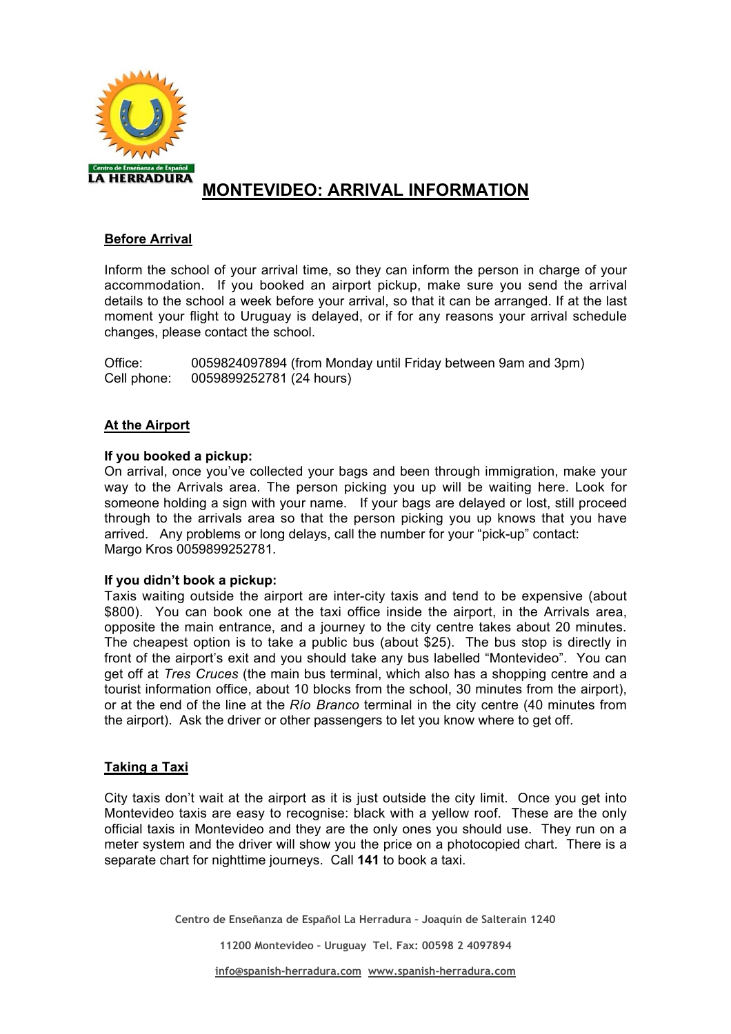

# **MONTEVIDEO: ARRIVAL INFORMATION**

## **Before Arrival**

Inform the school of your arrival time, so they can inform the person in charge of your accommodation. If you booked an airport pickup, make sure you send the arrival details to the school a week before your arrival, so that it can be arranged. If at the last moment your flight to Uruguay is delayed, or if for any reasons your arrival schedule changes, please contact the school.

Office: 0059824097894 (from Monday until Friday between 9am and 3pm) Cell phone: 0059899252781 (24 hours)

## **At the Airport**

## **If you booked a pickup:**

On arrival, once you've collected your bags and been through immigration, make your way to the Arrivals area. The person picking you up will be waiting here. Look for someone holding a sign with your name. If your bags are delayed or lost, still proceed through to the arrivals area so that the person picking you up knows that you have arrived. Any problems or long delays, call the number for your "pick-up" contact: Margo Kros 0059899252781.

### **If you didn't book a pickup:**

Taxis waiting outside the airport are inter-city taxis and tend to be expensive (about \$800). You can book one at the taxi office inside the airport, in the Arrivals area, opposite the main entrance, and a journey to the city centre takes about 20 minutes. The cheapest option is to take a public bus (about \$25). The bus stop is directly in front of the airport's exit and you should take any bus labelled "Montevideo". You can get off at *Tres Cruces* (the main bus terminal, which also has a shopping centre and a tourist information office, about 10 blocks from the school, 30 minutes from the airport), or at the end of the line at the *Río Branco* terminal in the city centre (40 minutes from the airport). Ask the driver or other passengers to let you know where to get off.

### **Taking a Taxi**

City taxis don't wait at the airport as it is just outside the city limit. Once you get into Montevideo taxis are easy to recognise: black with a yellow roof. These are the only official taxis in Montevideo and they are the only ones you should use. They run on a meter system and the driver will show you the price on a photocopied chart. There is a separate chart for nighttime journeys. Call **141** to book a taxi.

**Centro de Enseñanza de Español La Herradura – Joaquín de Salterain 1240**

**11200 Montevideo – Uruguay Tel. Fax: 00598 2 4097894**

**info@spanish-herradura.com www.spanish-herradura.com**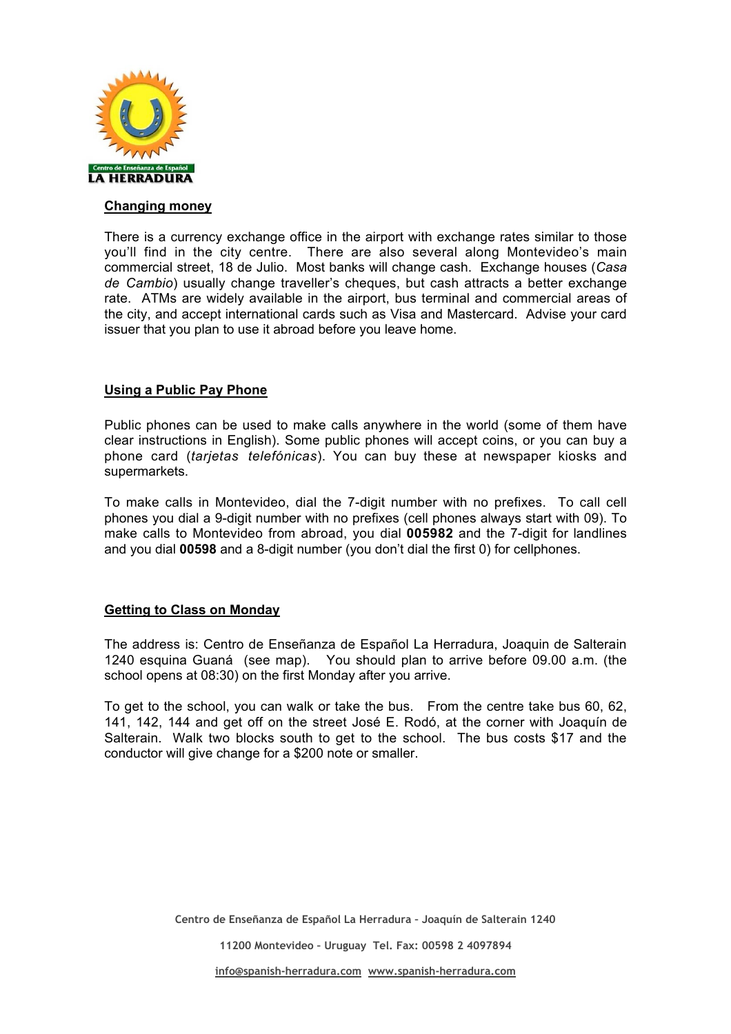

#### **Changing money**

There is a currency exchange office in the airport with exchange rates similar to those you'll find in the city centre. There are also several along Montevideo's main commercial street, 18 de Julio. Most banks will change cash. Exchange houses (*Casa de Cambio*) usually change traveller's cheques, but cash attracts a better exchange rate. ATMs are widely available in the airport, bus terminal and commercial areas of the city, and accept international cards such as Visa and Mastercard. Advise your card issuer that you plan to use it abroad before you leave home.

### **Using a Public Pay Phone**

Public phones can be used to make calls anywhere in the world (some of them have clear instructions in English). Some public phones will accept coins, or you can buy a phone card (*tarjetas telefónicas*). You can buy these at newspaper kiosks and supermarkets.

To make calls in Montevideo, dial the 7-digit number with no prefixes. To call cell phones you dial a 9-digit number with no prefixes (cell phones always start with 09). To make calls to Montevideo from abroad, you dial **005982** and the 7-digit for landlines and you dial **00598** and a 8-digit number (you don't dial the first 0) for cellphones.

### **Getting to Class on Monday**

The address is: Centro de Enseñanza de Español La Herradura, Joaquin de Salterain 1240 esquina Guaná (see map). You should plan to arrive before 09.00 a.m. (the school opens at 08:30) on the first Monday after you arrive.

To get to the school, you can walk or take the bus. From the centre take bus 60, 62, 141, 142, 144 and get off on the street José E. Rodó, at the corner with Joaquín de Salterain. Walk two blocks south to get to the school. The bus costs \$17 and the conductor will give change for a \$200 note or smaller.

**11200 Montevideo – Uruguay Tel. Fax: 00598 2 4097894**

**Centro de Enseñanza de Español La Herradura – Joaquín de Salterain 1240**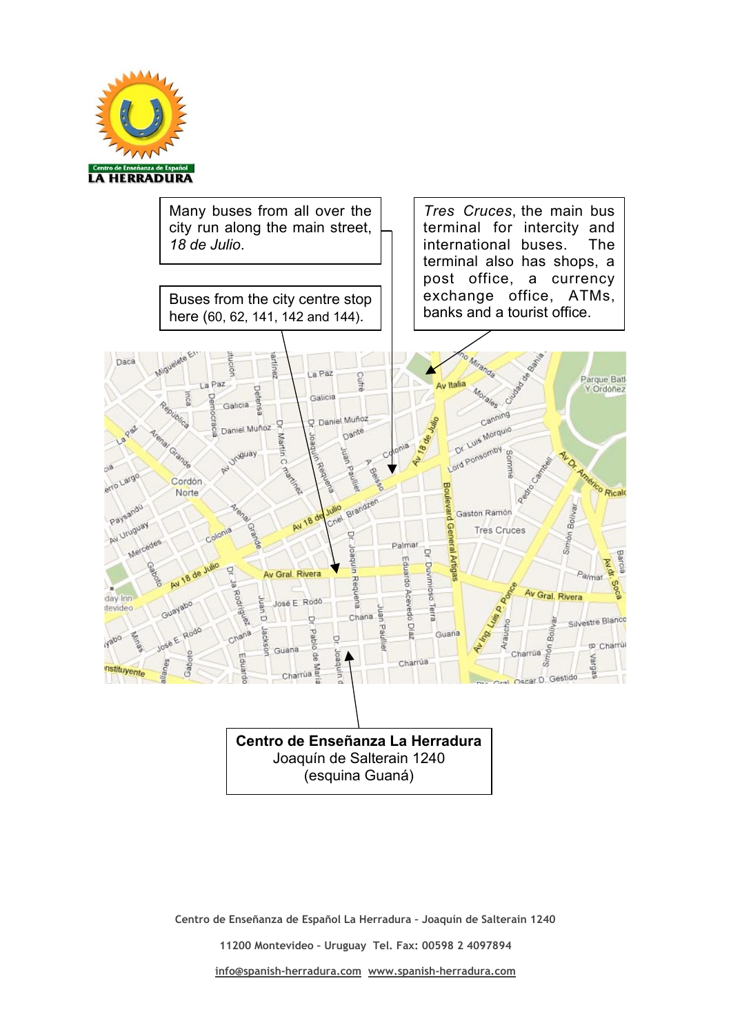



**Centro de Enseñanza de Español La Herradura – Joaquín de Salterain 1240**

**11200 Montevideo – Uruguay Tel. Fax: 00598 2 4097894**

**info@spanish-herradura.com www.spanish-herradura.com**